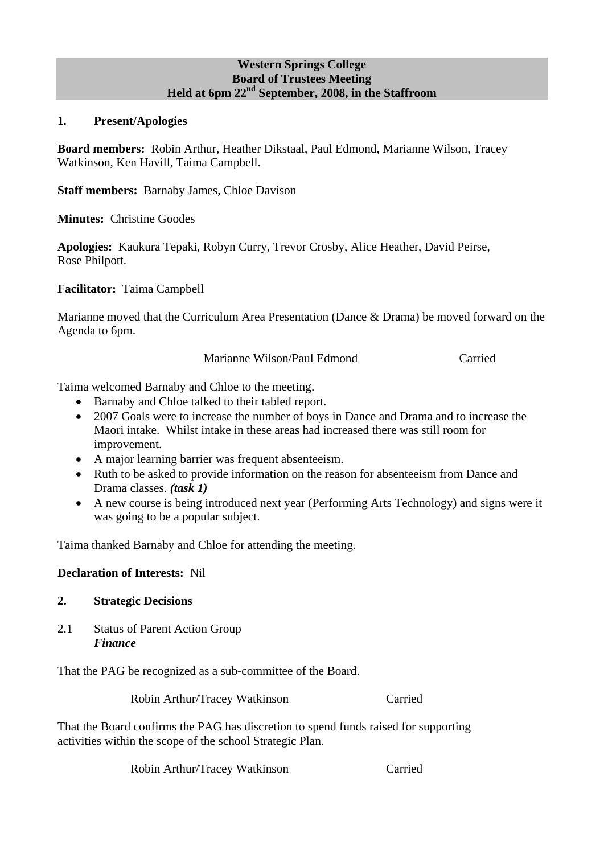#### **Western Springs College Board of Trustees Meeting Held at 6pm 22nd September, 2008, in the Staffroom**

#### **1. Present/Apologies**

**Board members:** Robin Arthur, Heather Dikstaal, Paul Edmond, Marianne Wilson, Tracey Watkinson, Ken Havill, Taima Campbell.

**Staff members:** Barnaby James, Chloe Davison

**Minutes:** Christine Goodes

**Apologies:** Kaukura Tepaki, Robyn Curry, Trevor Crosby, Alice Heather, David Peirse, Rose Philpott.

**Facilitator:** Taima Campbell

Marianne moved that the Curriculum Area Presentation (Dance & Drama) be moved forward on the Agenda to 6pm.

Marianne Wilson/Paul Edmond Carried

Taima welcomed Barnaby and Chloe to the meeting.

- Barnaby and Chloe talked to their tabled report.
- 2007 Goals were to increase the number of boys in Dance and Drama and to increase the Maori intake. Whilst intake in these areas had increased there was still room for improvement.
- A major learning barrier was frequent absenteeism.
- Ruth to be asked to provide information on the reason for absenteeism from Dance and Drama classes. *(task 1)*
- A new course is being introduced next year (Performing Arts Technology) and signs were it was going to be a popular subject.

Taima thanked Barnaby and Chloe for attending the meeting.

**Declaration of Interests:** Nil

#### **2. Strategic Decisions**

2.1 Status of Parent Action Group *Finance* 

That the PAG be recognized as a sub-committee of the Board.

Robin Arthur/Tracey Watkinson Carried

That the Board confirms the PAG has discretion to spend funds raised for supporting activities within the scope of the school Strategic Plan.

Robin Arthur/Tracey Watkinson Carried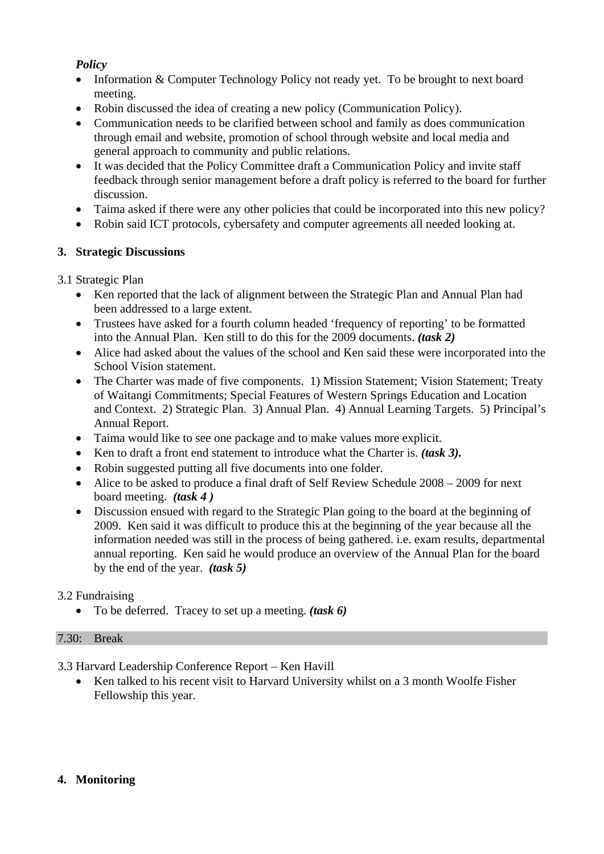## *Policy*

- Information & Computer Technology Policy not ready yet. To be brought to next board meeting.
- Robin discussed the idea of creating a new policy (Communication Policy).
- Communication needs to be clarified between school and family as does communication through email and website, promotion of school through website and local media and general approach to community and public relations.
- It was decided that the Policy Committee draft a Communication Policy and invite staff feedback through senior management before a draft policy is referred to the board for further discussion.
- Taima asked if there were any other policies that could be incorporated into this new policy?
- Robin said ICT protocols, cybersafety and computer agreements all needed looking at.

# **3. Strategic Discussions**

# 3.1 Strategic Plan

- Ken reported that the lack of alignment between the Strategic Plan and Annual Plan had been addressed to a large extent.
- Trustees have asked for a fourth column headed 'frequency of reporting' to be formatted into the Annual Plan. Ken still to do this for the 2009 documents. *(task 2)*
- Alice had asked about the values of the school and Ken said these were incorporated into the School Vision statement.
- The Charter was made of five components. 1) Mission Statement; Vision Statement; Treaty of Waitangi Commitments; Special Features of Western Springs Education and Location and Context. 2) Strategic Plan. 3) Annual Plan. 4) Annual Learning Targets. 5) Principal's Annual Report.
- Taima would like to see one package and to make values more explicit.
- Ken to draft a front end statement to introduce what the Charter is. *(task 3).*
- Robin suggested putting all five documents into one folder.
- Alice to be asked to produce a final draft of Self Review Schedule 2008 2009 for next board meeting. *(task 4 )*
- Discussion ensued with regard to the Strategic Plan going to the board at the beginning of 2009. Ken said it was difficult to produce this at the beginning of the year because all the information needed was still in the process of being gathered. i.e. exam results, departmental annual reporting. Ken said he would produce an overview of the Annual Plan for the board by the end of the year. *(task 5)*

## 3.2 Fundraising

• To be deferred. Tracey to set up a meeting. *(task 6)*

## 7.30: Break

3.3 Harvard Leadership Conference Report – Ken Havill

Ken talked to his recent visit to Harvard University whilst on a 3 month Woolfe Fisher Fellowship this year.

## **4. Monitoring**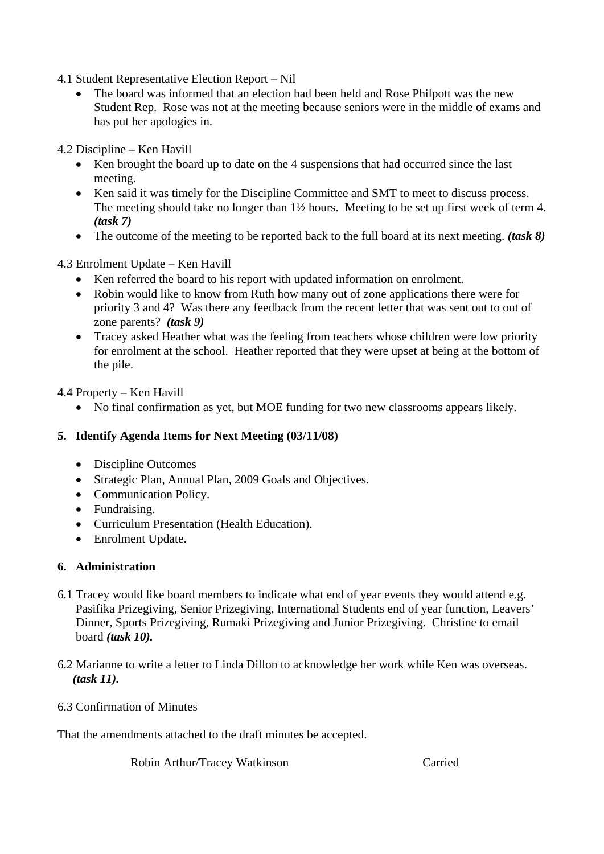- 4.1 Student Representative Election Report Nil
	- The board was informed that an election had been held and Rose Philpott was the new Student Rep. Rose was not at the meeting because seniors were in the middle of exams and has put her apologies in.

4.2 Discipline – Ken Havill

- Ken brought the board up to date on the 4 suspensions that had occurred since the last meeting.
- Ken said it was timely for the Discipline Committee and SMT to meet to discuss process. The meeting should take no longer than 1½ hours. Meeting to be set up first week of term 4. *(task 7)*
- The outcome of the meeting to be reported back to the full board at its next meeting. *(task 8)*
- 4.3 Enrolment Update Ken Havill
	- Ken referred the board to his report with updated information on enrolment.
	- Robin would like to know from Ruth how many out of zone applications there were for priority 3 and 4? Was there any feedback from the recent letter that was sent out to out of zone parents? *(task 9)*
	- Tracey asked Heather what was the feeling from teachers whose children were low priority for enrolment at the school. Heather reported that they were upset at being at the bottom of the pile.

4.4 Property – Ken Havill

• No final confirmation as yet, but MOE funding for two new classrooms appears likely.

### **5. Identify Agenda Items for Next Meeting (03/11/08)**

- Discipline Outcomes
- Strategic Plan, Annual Plan, 2009 Goals and Objectives.
- Communication Policy.
- Fundraising.
- Curriculum Presentation (Health Education).
- Enrolment Update.

### **6. Administration**

- 6.1 Tracey would like board members to indicate what end of year events they would attend e.g. Pasifika Prizegiving, Senior Prizegiving, International Students end of year function, Leavers' Dinner, Sports Prizegiving, Rumaki Prizegiving and Junior Prizegiving. Christine to email board *(task 10).*
- 6.2 Marianne to write a letter to Linda Dillon to acknowledge her work while Ken was overseas.  *(task 11).*
- 6.3 Confirmation of Minutes

That the amendments attached to the draft minutes be accepted.

Robin Arthur/Tracey Watkinson Carried